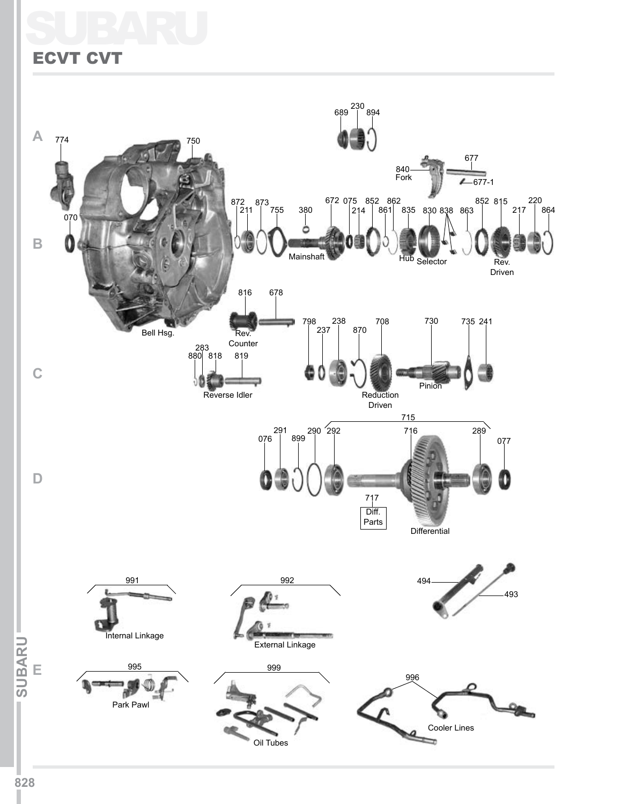## SUBARU ECVT CVT

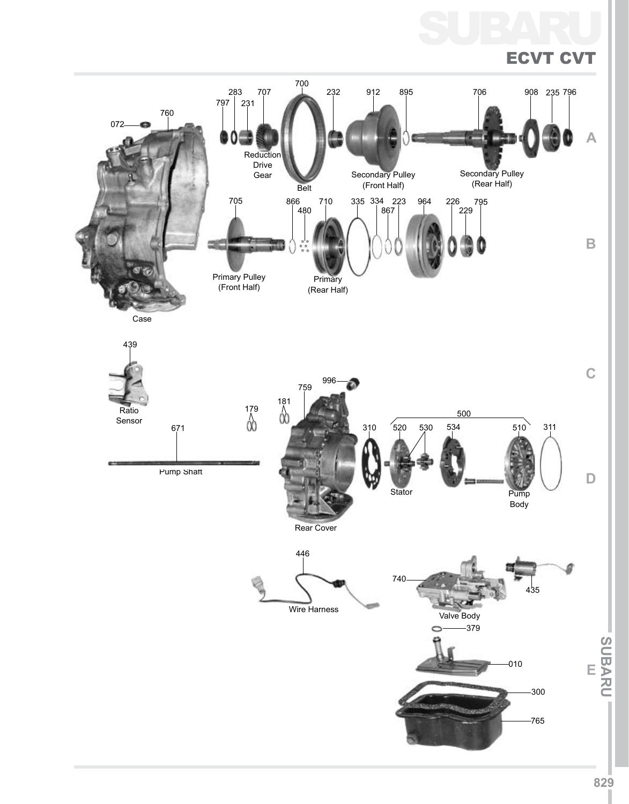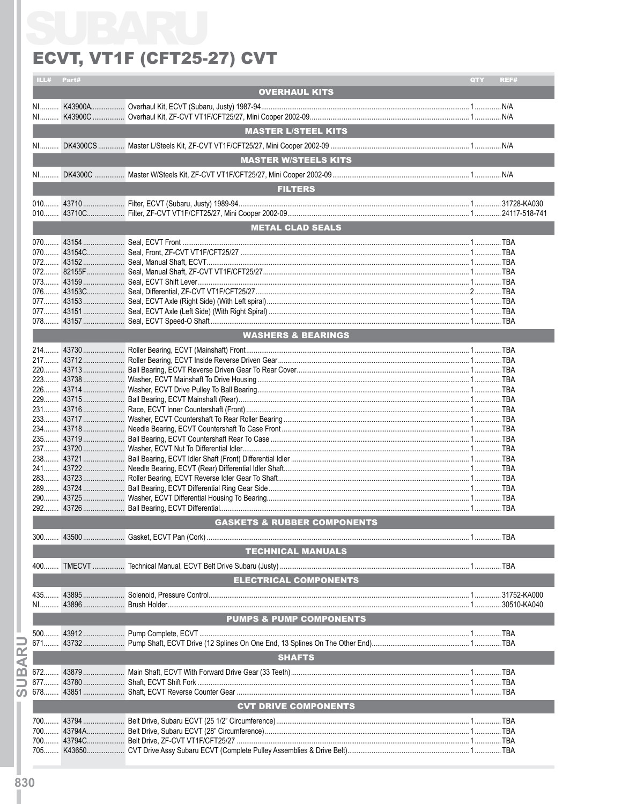## ECVT, VT1F (CFT25-27) CVT

| ILL# Part# |                                        | QTY | REF# |
|------------|----------------------------------------|-----|------|
|            | <b>OVERHAUL KITS</b>                   |     |      |
|            |                                        |     |      |
|            |                                        |     |      |
|            | <b>MASTER L/STEEL KITS</b>             |     |      |
|            |                                        |     |      |
|            |                                        |     |      |
|            | <b>MASTER W/STEELS KITS</b>            |     |      |
|            |                                        |     |      |
|            |                                        |     |      |
|            | <b>FILTERS</b>                         |     |      |
|            |                                        |     |      |
|            |                                        |     |      |
|            | <b>METAL CLAD SEALS</b>                |     |      |
|            |                                        |     |      |
|            |                                        |     |      |
|            |                                        |     |      |
|            |                                        |     |      |
|            |                                        |     |      |
|            |                                        |     |      |
|            |                                        |     |      |
|            |                                        |     |      |
|            | <b>WASHERS &amp; BEARINGS</b>          |     |      |
|            |                                        |     |      |
|            |                                        |     |      |
|            |                                        |     |      |
|            |                                        |     |      |
|            |                                        |     |      |
|            |                                        |     |      |
|            |                                        |     |      |
|            |                                        |     |      |
|            |                                        |     |      |
|            |                                        |     |      |
|            |                                        |     |      |
|            |                                        |     |      |
|            |                                        |     |      |
|            |                                        |     |      |
|            |                                        |     |      |
|            |                                        |     |      |
|            | <b>GASKETS &amp; RUBBER COMPONENTS</b> |     |      |
|            |                                        |     |      |
|            | <b>TECHNICAL MANUALS</b>               |     |      |
|            |                                        |     |      |
|            | <b>ELECTRICAL COMPONENTS</b>           |     |      |
|            |                                        |     |      |
|            |                                        |     |      |
|            |                                        |     |      |
|            | <b>PUMPS &amp; PUMP COMPONENTS</b>     |     |      |
|            |                                        |     |      |
|            |                                        |     |      |
|            | <b>SHAFTS</b>                          |     |      |
|            |                                        |     |      |
|            |                                        |     |      |
|            |                                        |     |      |
|            | <b>CVT DRIVE COMPONENTS</b>            |     |      |
|            |                                        |     |      |
|            |                                        |     |      |
|            |                                        |     |      |
|            |                                        |     |      |
|            |                                        |     |      |